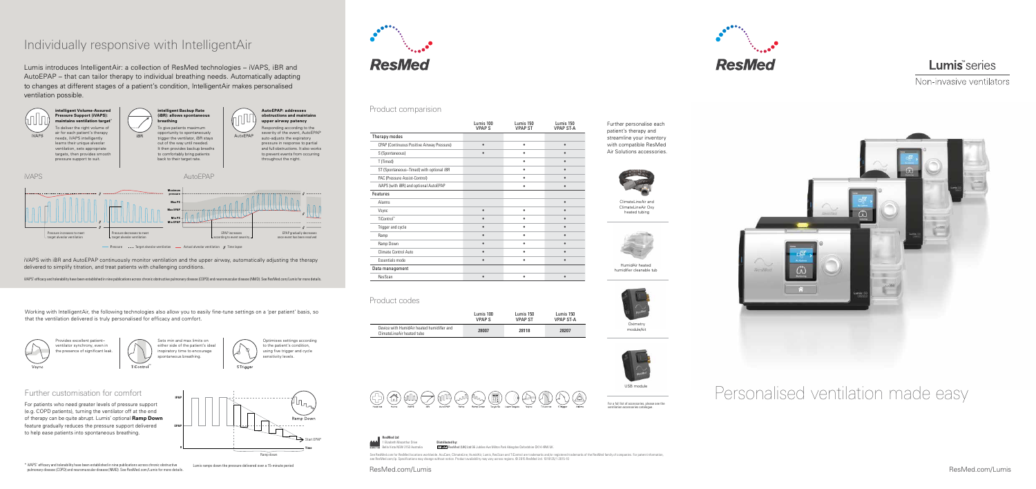# Personalised ventilation made easy

Park Abingdon Oxfordshire OX14 4RW UK

ResMed.com/Lumis ResMed.com/Lumis



### Lumis<sup>\*</sup>series

Non-invasive ventilators

**Oximetry** module/kit



HumidAir heated humidifier cleanable tub



USB module

ClimateLineAir and ClimateLineAir Oxy heated tubing



Further personalise each patient's therapy and streamline your inventory with compatible ResMed Air Solutions accessories.



#### Product comparision

#### Product codes

For a full list of accessories, please see the ventilation accessories catalogue.





| Therapy modes<br>CPAP (Continuous Positive Airway Pressure)<br>S (Spontaneous)<br>T (Timed)<br>ST (Spontaneous-Timed) with optional iBR<br>PAC (Pressure Assist-Control)<br>iVAPS (with iBR) and optional AutoEPAP<br>Features<br>Alarms<br>Vsync<br>$\bullet$<br>TiControl <sup>™</sup><br>Trigger and cycle<br>Ramp<br>Ramp Down<br>Climate Control Auto<br>Essentials mode<br>Data management<br>ResScan | Lumis 100<br><b>VPAPS</b> | Lumis 150<br><b>VPAP ST</b> | Lumis<br><b>VPAP</b> |
|-------------------------------------------------------------------------------------------------------------------------------------------------------------------------------------------------------------------------------------------------------------------------------------------------------------------------------------------------------------------------------------------------------------|---------------------------|-----------------------------|----------------------|
|                                                                                                                                                                                                                                                                                                                                                                                                             |                           |                             |                      |
|                                                                                                                                                                                                                                                                                                                                                                                                             |                           |                             |                      |
|                                                                                                                                                                                                                                                                                                                                                                                                             |                           |                             |                      |
|                                                                                                                                                                                                                                                                                                                                                                                                             |                           |                             |                      |
|                                                                                                                                                                                                                                                                                                                                                                                                             |                           |                             |                      |
|                                                                                                                                                                                                                                                                                                                                                                                                             |                           |                             |                      |
|                                                                                                                                                                                                                                                                                                                                                                                                             |                           |                             |                      |
|                                                                                                                                                                                                                                                                                                                                                                                                             |                           |                             |                      |
|                                                                                                                                                                                                                                                                                                                                                                                                             |                           |                             |                      |
|                                                                                                                                                                                                                                                                                                                                                                                                             |                           |                             |                      |
|                                                                                                                                                                                                                                                                                                                                                                                                             |                           |                             |                      |
|                                                                                                                                                                                                                                                                                                                                                                                                             |                           |                             |                      |
|                                                                                                                                                                                                                                                                                                                                                                                                             |                           |                             |                      |
|                                                                                                                                                                                                                                                                                                                                                                                                             |                           |                             |                      |
|                                                                                                                                                                                                                                                                                                                                                                                                             |                           |                             |                      |
|                                                                                                                                                                                                                                                                                                                                                                                                             |                           |                             |                      |
|                                                                                                                                                                                                                                                                                                                                                                                                             |                           |                             |                      |
|                                                                                                                                                                                                                                                                                                                                                                                                             |                           |                             |                      |

|                                                                          | Lumis 100     | Lumis 150      | Lumis 150 |
|--------------------------------------------------------------------------|---------------|----------------|-----------|
|                                                                          | <b>VPAP S</b> | <b>VPAP ST</b> | VPAP ST-A |
| Device with HumidAir heated humidifier and<br>ClimateLineAir heated tube | 28007         | 28118          | 28207     |



## Individually responsive with IntelligentAir

Lumis introduces IntelligentAir: a collection of ResMed technologies – iVAPS, iBR and AutoEPAP – that can tailor therapy to individual breathing needs. Automatically adapting to changes at different stages of a patient's condition, IntelligentAir makes personalised ventilation possible.

.<br>WAPS with iBR and AutoEPAP continuously monitor ventilation and the upper airway, automatically adjusting the therapy delivered to simplify titration, and treat patients with challenging conditions.

Further customisation for comfort

to help ease patients into spontaneous breathing.

either side of the patient's ideal nspiratory time to encourage

> See ResMed.com for ResMed locations worldwide. AcuCare, ClimateLine, HumidAir, Lumis, ResScan and TiControl are trademarks and/or registered trademarks of the ResMed family of companies. For patent information, see ResMed.com/ip. Specifications may change without notice. Product availability may vary across regions. © 2015 ResMed Ltd. 1019125/1 2015-10



Working with IntelligentAir, the following technologies also allow you to easily fine-tune settings on a 'per patient' basis, so that the ventilation delivered is truly personalised for efficacy and comfort.



5 Trigger

Lumis ramps down the pressure delivered over a 15-minute period



iVAPS' efficacy and tolerability have been established in nine publications across chronic obstructive pulmonary disease (COPD) and neuromuscular disease (NMD). See ResMed.com/Lumis for more details.

Provides excellent patient– ventilator synchrony, even in the presence of significant leak. Optimises settings according to the patient's condition, using five trigger and cycle sensitivity levels.





\* iVAPS' efficacy and tolerability have been established in nine publications across chronic obstructive pulmonary disease (COPD) and neuromuscular disease (NMD). See ResMed.com/Lumis for more details.

|      | <b>ResMed Ltd</b>                              |                                                        |
|------|------------------------------------------------|--------------------------------------------------------|
| المم | 1 Elizabeth Macarthur Drive                    | Distributed by:                                        |
|      | <b>WACTURER</b> Bella Vista NSW 2153 Australia | <b>EC REP</b> ResMed (UK) Ltd 96 Jubilee Ave Milton Pa |